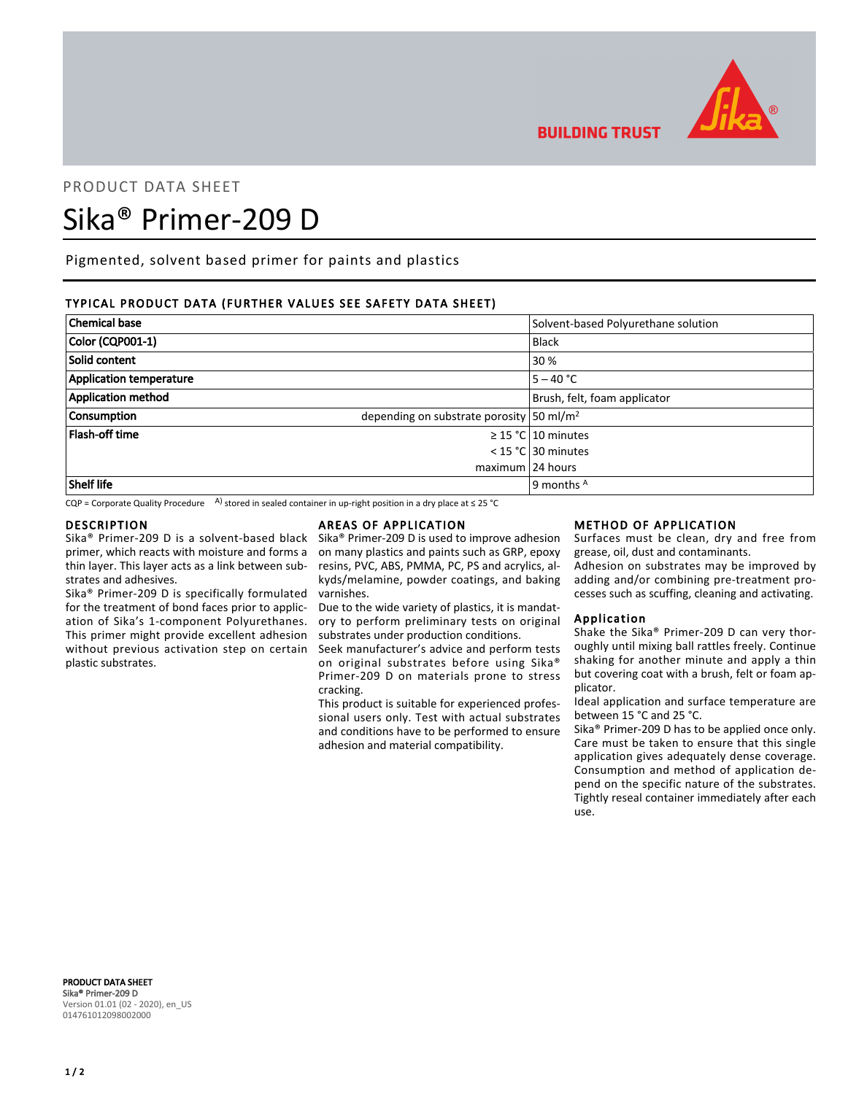

**BUILDING TRUST** 

## PRODUCT DATA SHEET

# Sika® Primer-209 D

Pigmented, solvent based primer for paints and plastics

### TYPICAL PRODUCT DATA (FURTHER VALUES SEE SAFETY DATA SHEET)

| <b>Chemical base</b>           | Solvent-based Polyurethane solution                  |
|--------------------------------|------------------------------------------------------|
| Color (CQP001-1)               | <b>Black</b>                                         |
| Solid content                  | 30 %                                                 |
| <b>Application temperature</b> | $5 - 40 °C$                                          |
| <b>Application method</b>      | Brush, felt, foam applicator                         |
| Consumption                    | depending on substrate porosity 50 ml/m <sup>2</sup> |
| Flash-off time                 | $\geq$ 15 °C 10 minutes                              |
|                                | $<$ 15 °C 30 minutes                                 |
|                                | maximum 24 hours                                     |
| <b>Shelf life</b>              | 9 months $^{\mathsf{A}}$                             |

CQP = Corporate Quality Procedure A) stored in sealed container in up-right position in a dry place at  $\leq$  25 °C

#### **DESCRIPTION**

Sika® Primer-209 D is a solvent-based black primer, which reacts with moisture and forms a thin layer. This layer acts as a link between substrates and adhesives.

Sika® Primer-209 D is specifically formulated for the treatment of bond faces prior to application of Sika's 1-component Polyurethanes. This primer might provide excellent adhesion without previous activation step on certain plastic substrates.

#### AREAS OF APPLICATION

Sika® Primer-209 D is used to improve adhesion on many plastics and paints such as GRP, epoxy resins, PVC, ABS, PMMA, PC, PS and acrylics, alkyds/melamine, powder coatings, and baking varnishes.

Due to the wide variety of plastics, it is mandatory to perform preliminary tests on original substrates under production conditions.

Seek manufacturer's advice and perform tests on original substrates before using Sika® Primer-209 D on materials prone to stress cracking.

This product is suitable for experienced professional users only. Test with actual substrates and conditions have to be performed to ensure adhesion and material compatibility.

#### METHOD OF APPLICATION

Surfaces must be clean, dry and free from grease, oil, dust and contaminants.

Adhesion on substrates may be improved by adding and/or combining pre-treatment processes such as scuffing, cleaning and activating.

#### Application

Shake the Sika® Primer-209 D can very thoroughly until mixing ball rattles freely. Continue shaking for another minute and apply a thin but covering coat with a brush, felt or foam applicator.

Ideal application and surface temperature are between 15 °C and 25 °C.

Sika® Primer-209 D has to be applied once only. Care must be taken to ensure that this single application gives adequately dense coverage. Consumption and method of application depend on the specific nature of the substrates. Tightly reseal container immediately after each use.

PRODUCT DATA SHEET Sika® Primer-209 D Version 01.01 (02 - 2020), en\_US 014761012098002000